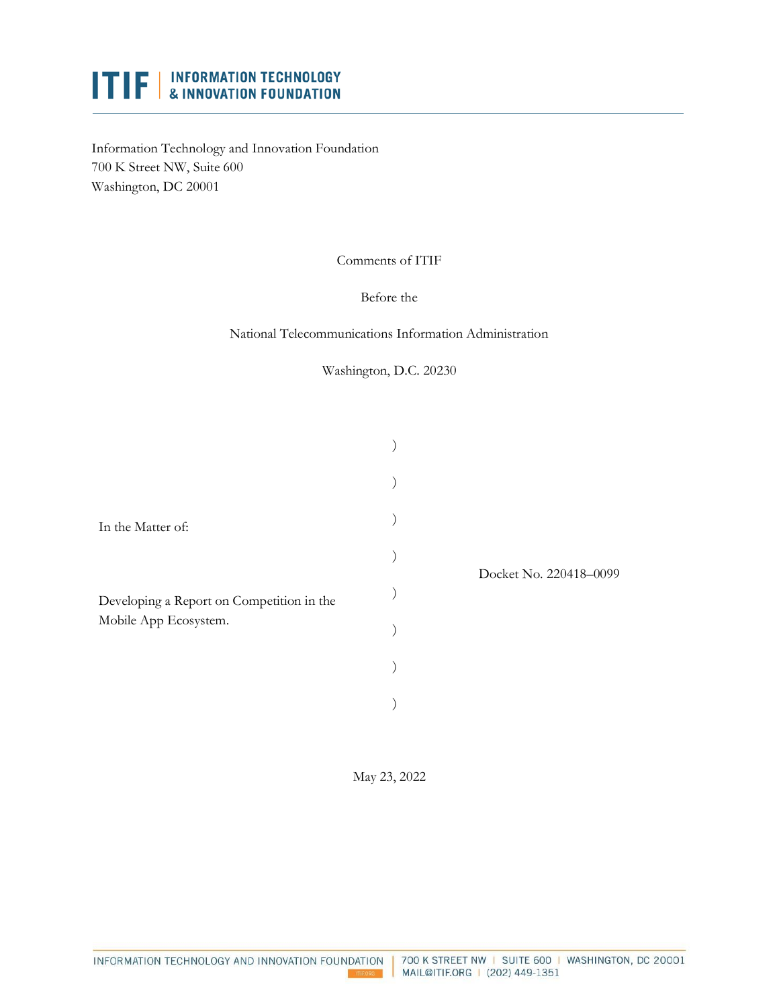# **ITIF** | INFORMATION TECHNOLOGY

Information Technology and Innovation Foundation 700 K Street NW, Suite 600 Washington, DC 20001

Comments of ITIF

Before the

National Telecommunications Information Administration

Washington, D.C. 20230

| In the Matter of:<br>Developing a Report on Competition in the<br>Mobile App Ecosystem. |  | Docket No. 220418-0099 |
|-----------------------------------------------------------------------------------------|--|------------------------|
|                                                                                         |  |                        |
|                                                                                         |  |                        |
|                                                                                         |  |                        |
|                                                                                         |  |                        |
|                                                                                         |  |                        |
|                                                                                         |  |                        |
|                                                                                         |  |                        |

May 23, 2022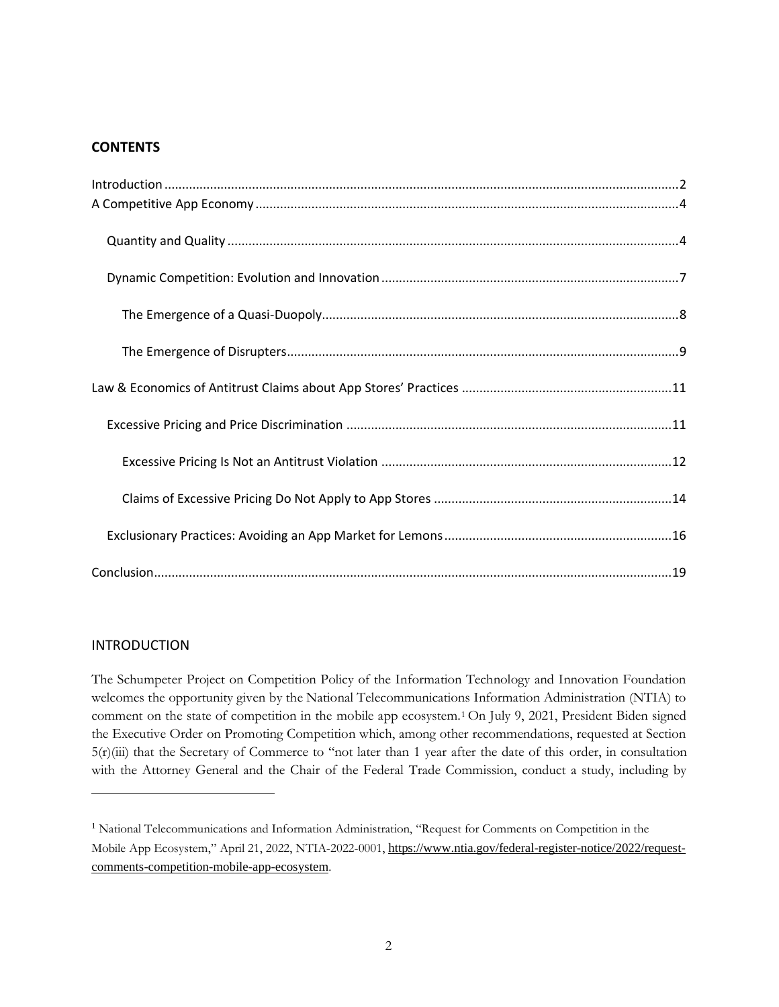## **CONTENTS**

#### <span id="page-1-0"></span>INTRODUCTION

The Schumpeter Project on Competition Policy of the Information Technology and Innovation Foundation welcomes the opportunity given by the National Telecommunications Information Administration (NTIA) to comment on the state of competition in the mobile app ecosystem.<sup>1</sup> On July 9, 2021, President Biden signed the Executive Order on Promoting Competition which, among other recommendations, requested at Section 5(r)(iii) that the Secretary of Commerce to "not later than 1 year after the date of this order, in consultation with the Attorney General and the Chair of the Federal Trade Commission, conduct a study, including by

<sup>&</sup>lt;sup>1</sup> National Telecommunications and Information Administration, "Request for Comments on Competition in the Mobile App Ecosystem," April 21, 2022, NTIA-2022-0001, [https://www.ntia.gov/federal-register-notice/2022/request](https://www.ntia.gov/federal-register-notice/2022/request-comments-competition-mobile-app-ecosystem)[comments-competition-mobile-app-ecosystem](https://www.ntia.gov/federal-register-notice/2022/request-comments-competition-mobile-app-ecosystem).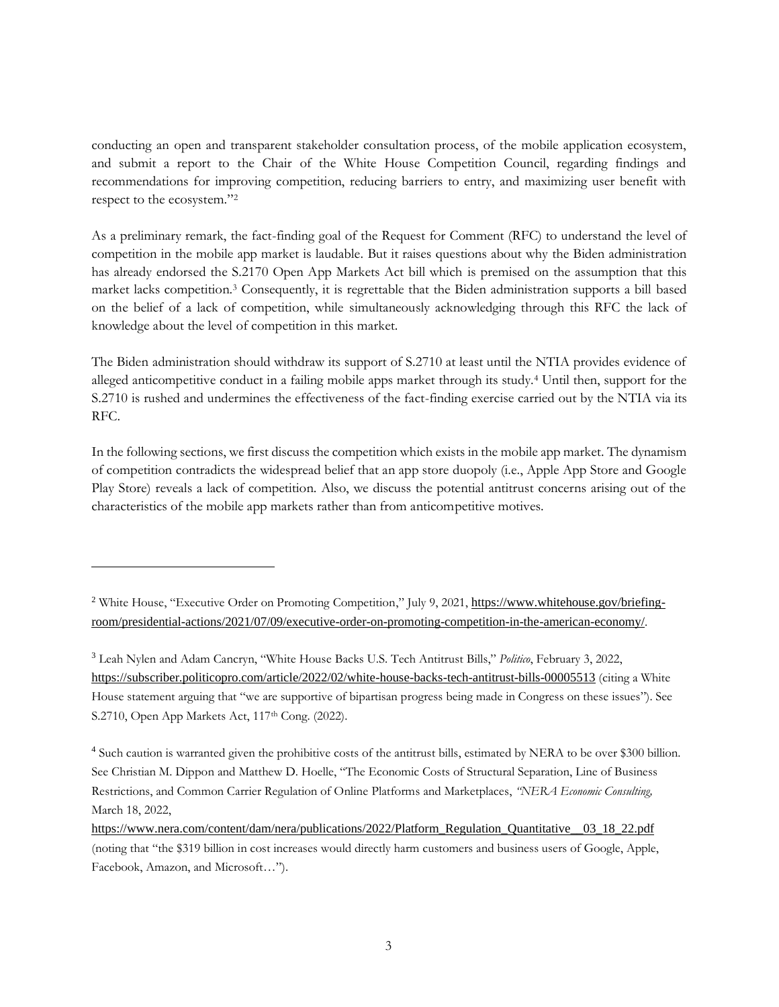conducting an open and transparent stakeholder consultation process, of the mobile application ecosystem, and submit a report to the Chair of the White House Competition Council, regarding findings and recommendations for improving competition, reducing barriers to entry, and maximizing user benefit with respect to the ecosystem."<sup>2</sup>

As a preliminary remark, the fact-finding goal of the Request for Comment (RFC) to understand the level of competition in the mobile app market is laudable. But it raises questions about why the Biden administration has already endorsed the S.2170 Open App Markets Act bill which is premised on the assumption that this market lacks competition.<sup>3</sup> Consequently, it is regrettable that the Biden administration supports a bill based on the belief of a lack of competition, while simultaneously acknowledging through this RFC the lack of knowledge about the level of competition in this market.

The Biden administration should withdraw its support of S.2710 at least until the NTIA provides evidence of alleged anticompetitive conduct in a failing mobile apps market through its study.<sup>4</sup> Until then, support for the S.2710 is rushed and undermines the effectiveness of the fact-finding exercise carried out by the NTIA via its RFC.

In the following sections, we first discuss the competition which exists in the mobile app market. The dynamism of competition contradicts the widespread belief that an app store duopoly (i.e., Apple App Store and Google Play Store) reveals a lack of competition. Also, we discuss the potential antitrust concerns arising out of the characteristics of the mobile app markets rather than from anticompetitive motives.

<sup>&</sup>lt;sup>2</sup> White House, "Executive Order on Promoting Competition," July 9, 2021, [https://www.whitehouse.gov/briefing](https://www.whitehouse.gov/briefing-room/presidential-actions/2021/07/09/executive-order-on-promoting-competition-in-the-american-economy/)[room/presidential-actions/2021/07/09/executive-order-on-promoting-competition-in-the-american-economy/](https://www.whitehouse.gov/briefing-room/presidential-actions/2021/07/09/executive-order-on-promoting-competition-in-the-american-economy/).

<sup>3</sup> Leah Nylen and Adam Cancryn, "White House Backs U.S. Tech Antitrust Bills," *Politico*, February 3, 2022, <https://subscriber.politicopro.com/article/2022/02/white-house-backs-tech-antitrust-bills-00005513> (citing a White House statement arguing that "we are supportive of bipartisan progress being made in Congress on these issues"). See S.2710, Open App Markets Act, 117<sup>th</sup> Cong. (2022).

<sup>4</sup> Such caution is warranted given the prohibitive costs of the antitrust bills, estimated by NERA to be over \$300 billion. See Christian M. Dippon and Matthew D. Hoelle, "The Economic Costs of Structural Separation, Line of Business Restrictions, and Common Carrier Regulation of Online Platforms and Marketplaces, *"NERA Economic Consulting,* March 18, 2022,

[https://www.nera.com/content/dam/nera/publications/2022/Platform\\_Regulation\\_Quantitative\\_\\_03\\_18\\_22.pdf](https://www.nera.com/content/dam/nera/publications/2022/Platform_Regulation_Quantitative__03_18_22.pdf) (noting that "the \$319 billion in cost increases would directly harm customers and business users of Google, Apple, Facebook, Amazon, and Microsoft…").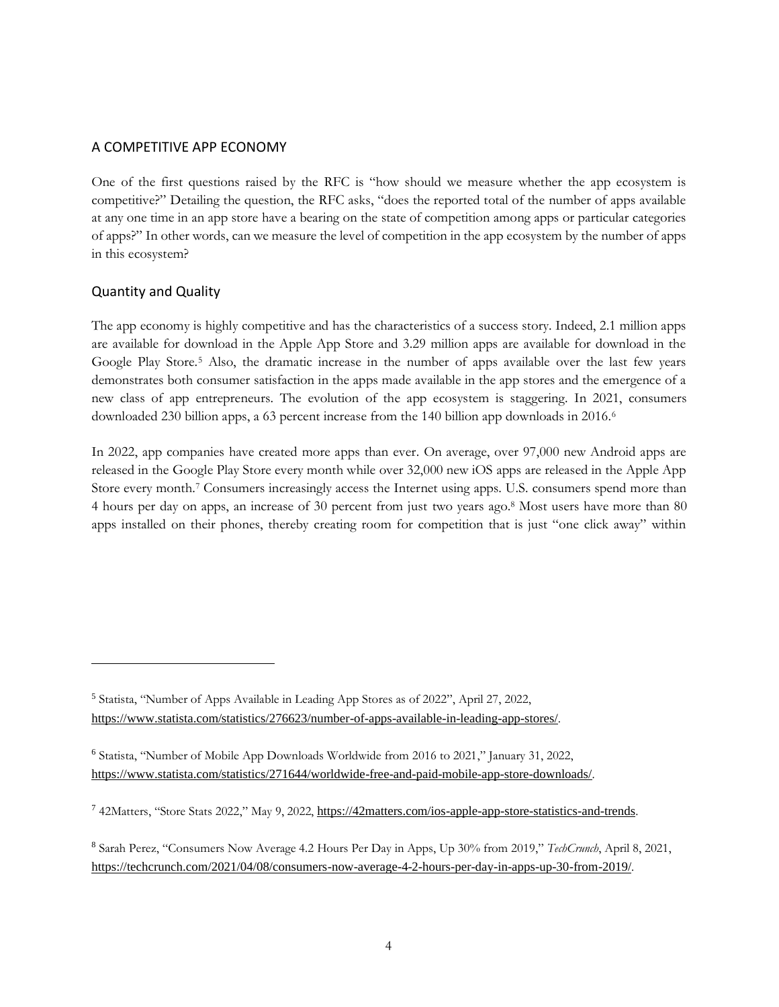## <span id="page-3-0"></span>A COMPETITIVE APP ECONOMY

One of the first questions raised by the RFC is "how should we measure whether the app ecosystem is competitive?" Detailing the question, the RFC asks, "does the reported total of the number of apps available at any one time in an app store have a bearing on the state of competition among apps or particular categories of apps?" In other words, can we measure the level of competition in the app ecosystem by the number of apps in this ecosystem?

## <span id="page-3-1"></span>Quantity and Quality

The app economy is highly competitive and has the characteristics of a success story. Indeed, 2.1 million apps are available for download in the Apple App Store and 3.29 million apps are available for download in the Google Play Store.<sup>5</sup> Also, the dramatic increase in the number of apps available over the last few years demonstrates both consumer satisfaction in the apps made available in the app stores and the emergence of a new class of app entrepreneurs. The evolution of the app ecosystem is staggering. In 2021, consumers downloaded 230 billion apps, a 63 percent increase from the 140 billion app downloads in 2016.<sup>6</sup>

In 2022, app companies have created more apps than ever. On average, over 97,000 new Android apps are released in the Google Play Store every month while over 32,000 new iOS apps are released in the Apple App Store every month.<sup>7</sup> Consumers increasingly access the Internet using apps. U.S. consumers spend more than 4 hours per day on apps, an increase of 30 percent from just two years ago.<sup>8</sup> Most users have more than 80 apps installed on their phones, thereby creating room for competition that is just "one click away" within

<sup>5</sup> Statista, "Number of Apps Available in Leading App Stores as of 2022", April 27, 2022, <https://www.statista.com/statistics/276623/number-of-apps-available-in-leading-app-stores/>.

<sup>6</sup> Statista, "Number of Mobile App Downloads Worldwide from 2016 to 2021," January 31, 2022, <https://www.statista.com/statistics/271644/worldwide-free-and-paid-mobile-app-store-downloads/>.

<sup>7</sup> 42Matters, "Store Stats 2022," May 9, 2022, <https://42matters.com/ios-apple-app-store-statistics-and-trends>.

<sup>8</sup> Sarah Perez, "Consumers Now Average 4.2 Hours Per Day in Apps, Up 30% from 2019," *TechCrunch*, April 8, 2021, <https://techcrunch.com/2021/04/08/consumers-now-average-4-2-hours-per-day-in-apps-up-30-from-2019/>.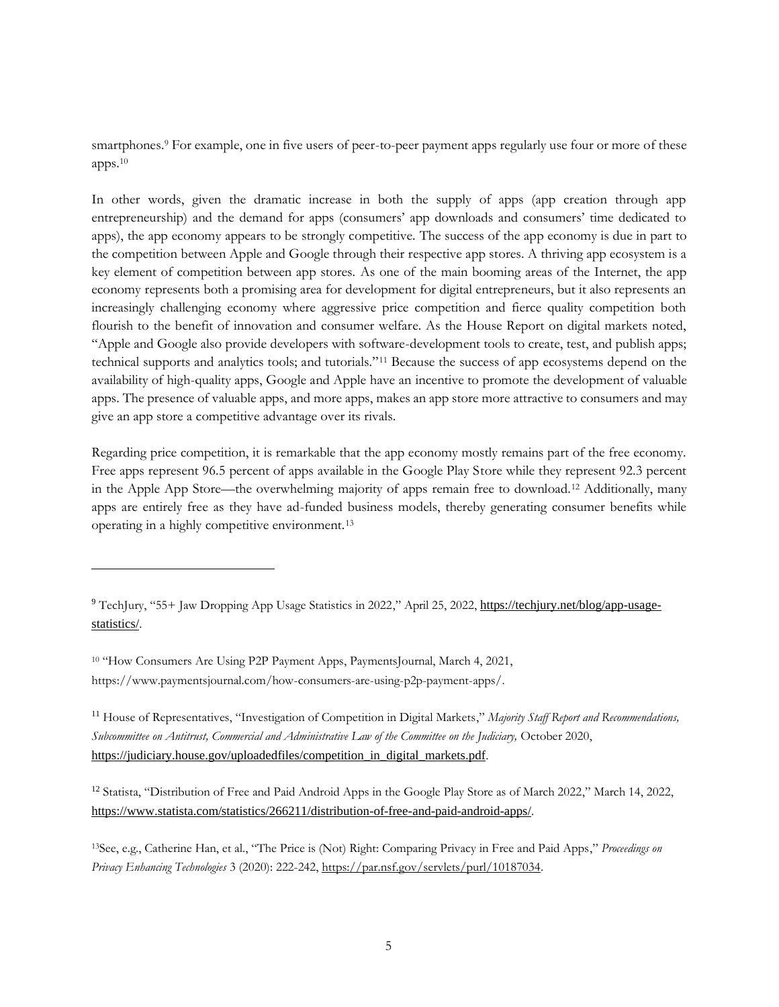smartphones.<sup>9</sup> For example, one in five users of peer-to-peer payment apps regularly use four or more of these apps.<sup>10</sup>

In other words, given the dramatic increase in both the supply of apps (app creation through app entrepreneurship) and the demand for apps (consumers' app downloads and consumers' time dedicated to apps), the app economy appears to be strongly competitive. The success of the app economy is due in part to the competition between Apple and Google through their respective app stores. A thriving app ecosystem is a key element of competition between app stores. As one of the main booming areas of the Internet, the app economy represents both a promising area for development for digital entrepreneurs, but it also represents an increasingly challenging economy where aggressive price competition and fierce quality competition both flourish to the benefit of innovation and consumer welfare. As the House Report on digital markets noted, "Apple and Google also provide developers with software-development tools to create, test, and publish apps; technical supports and analytics tools; and tutorials."<sup>11</sup> Because the success of app ecosystems depend on the availability of high-quality apps, Google and Apple have an incentive to promote the development of valuable apps. The presence of valuable apps, and more apps, makes an app store more attractive to consumers and may give an app store a competitive advantage over its rivals.

Regarding price competition, it is remarkable that the app economy mostly remains part of the free economy. Free apps represent 96.5 percent of apps available in the Google Play Store while they represent 92.3 percent in the Apple App Store—the overwhelming majority of apps remain free to download.<sup>12</sup> Additionally, many apps are entirely free as they have ad-funded business models, thereby generating consumer benefits while operating in a highly competitive environment.<sup>13</sup>

<sup>12</sup> Statista, "Distribution of Free and Paid Android Apps in the Google Play Store as of March 2022," March 14, 2022, <https://www.statista.com/statistics/266211/distribution-of-free-and-paid-android-apps/>.

<sup>13</sup>See, e.g., Catherine Han, et al., "The Price is (Not) Right: Comparing Privacy in Free and Paid Apps," *Proceedings on Privacy Enhancing Technologies* 3 (2020): 222-242[, https://par.nsf.gov/servlets/purl/10187034.](https://par.nsf.gov/servlets/purl/10187034)

<sup>&</sup>lt;sup>9</sup> TechJury, "55+ Jaw Dropping App Usage Statistics in 2022," April 25, 2022, [https://techjury.net/blog/app-usage](https://techjury.net/blog/app-usage-statistics/)[statistics/](https://techjury.net/blog/app-usage-statistics/).

<sup>&</sup>lt;sup>10</sup> "How Consumers Are Using P2P Payment Apps, PaymentsJournal, March 4, 2021, https://www.paymentsjournal.com/how-consumers-are-using-p2p-payment-apps/.

<sup>11</sup> House of Representatives, "Investigation of Competition in Digital Markets," *Majority Staff Report and Recommendations, Subcommittee on Antitrust, Commercial and Administrative Law of the Committee on the Judiciary,* October 2020, [https://judiciary.house.gov/uploadedfiles/competition\\_in\\_digital\\_markets.pdf](https://judiciary.house.gov/uploadedfiles/competition_in_digital_markets.pdf).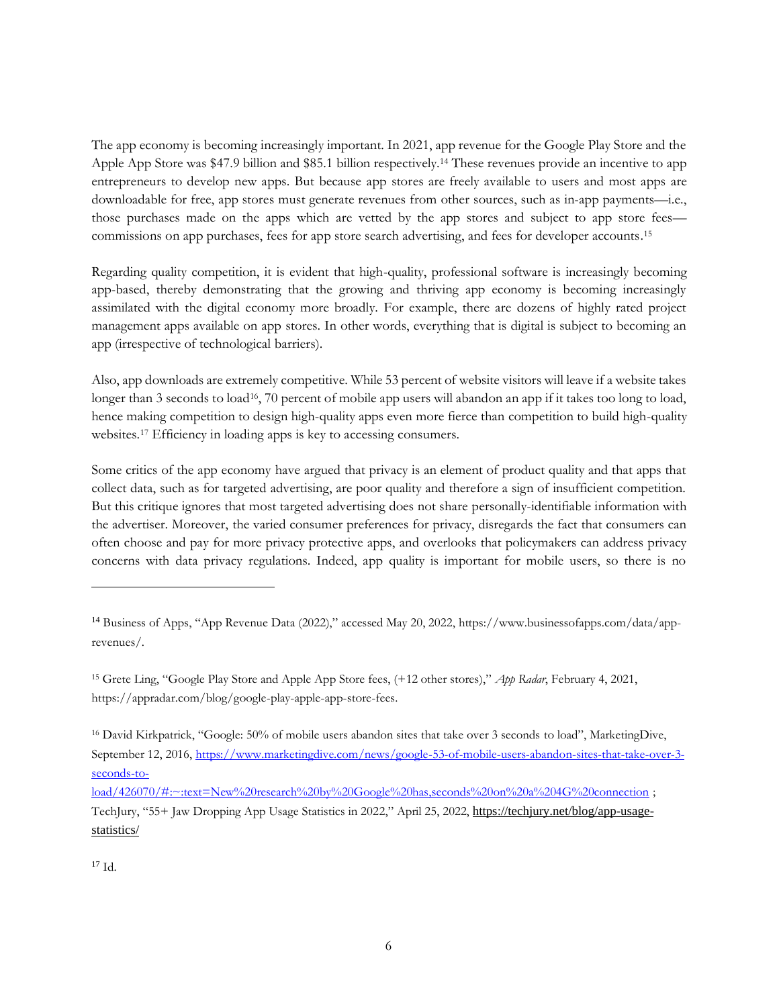The app economy is becoming increasingly important. In 2021, app revenue for the Google Play Store and the Apple App Store was \$47.9 billion and \$85.1 billion respectively.<sup>14</sup> These revenues provide an incentive to app entrepreneurs to develop new apps. But because app stores are freely available to users and most apps are downloadable for free, app stores must generate revenues from other sources, such as in-app payments—i.e., those purchases made on the apps which are vetted by the app stores and subject to app store fees commissions on app purchases, fees for app store search advertising, and fees for developer accounts. 15

Regarding quality competition, it is evident that high-quality, professional software is increasingly becoming app-based, thereby demonstrating that the growing and thriving app economy is becoming increasingly assimilated with the digital economy more broadly. For example, there are dozens of highly rated project management apps available on app stores. In other words, everything that is digital is subject to becoming an app (irrespective of technological barriers).

Also, app downloads are extremely competitive. While 53 percent of website visitors will leave if a website takes longer than 3 seconds to load<sup>16</sup>, 70 percent of mobile app users will abandon an app if it takes too long to load, hence making competition to design high-quality apps even more fierce than competition to build high-quality websites. <sup>17</sup> Efficiency in loading apps is key to accessing consumers.

Some critics of the app economy have argued that privacy is an element of product quality and that apps that collect data, such as for targeted advertising, are poor quality and therefore a sign of insufficient competition. But this critique ignores that most targeted advertising does not share personally-identifiable information with the advertiser. Moreover, the varied consumer preferences for privacy, disregards the fact that consumers can often choose and pay for more privacy protective apps, and overlooks that policymakers can address privacy concerns with data privacy regulations. Indeed, app quality is important for mobile users, so there is no

<sup>15</sup> Grete Ling, "Google Play Store and Apple App Store fees, (+12 other stores)," *App Radar*, February 4, 2021, https://appradar.com/blog/google-play-apple-app-store-fees.

<sup>16</sup> David Kirkpatrick, "Google: 50% of mobile users abandon sites that take over 3 seconds to load", MarketingDive, September 12, 2016[, https://www.marketingdive.com/news/google-53-of-mobile-users-abandon-sites-that-take-over-3](https://www.marketingdive.com/news/google-53-of-mobile-users-abandon-sites-that-take-over-3-seconds-to-load/426070/#:~:text=New%20research%20by%20Google%20has,seconds%20on%20a%204G%20connection) [seconds-to-](https://www.marketingdive.com/news/google-53-of-mobile-users-abandon-sites-that-take-over-3-seconds-to-load/426070/#:~:text=New%20research%20by%20Google%20has,seconds%20on%20a%204G%20connection)

[load/426070/#:~:text=New%20research%20by%20Google%20has,seconds%20on%20a%204G%20connection](https://www.marketingdive.com/news/google-53-of-mobile-users-abandon-sites-that-take-over-3-seconds-to-load/426070/#:~:text=New%20research%20by%20Google%20has,seconds%20on%20a%204G%20connection); TechJury, "55+ Jaw Dropping App Usage Statistics in 2022," April 25, 2022, [https://techjury.net/blog/app-usage](https://techjury.net/blog/app-usage-statistics/)[statistics/](https://techjury.net/blog/app-usage-statistics/)

 $17$  Id.

<sup>14</sup> Business of Apps, "App Revenue Data (2022)," accessed May 20, 2022, https://www.businessofapps.com/data/apprevenues/.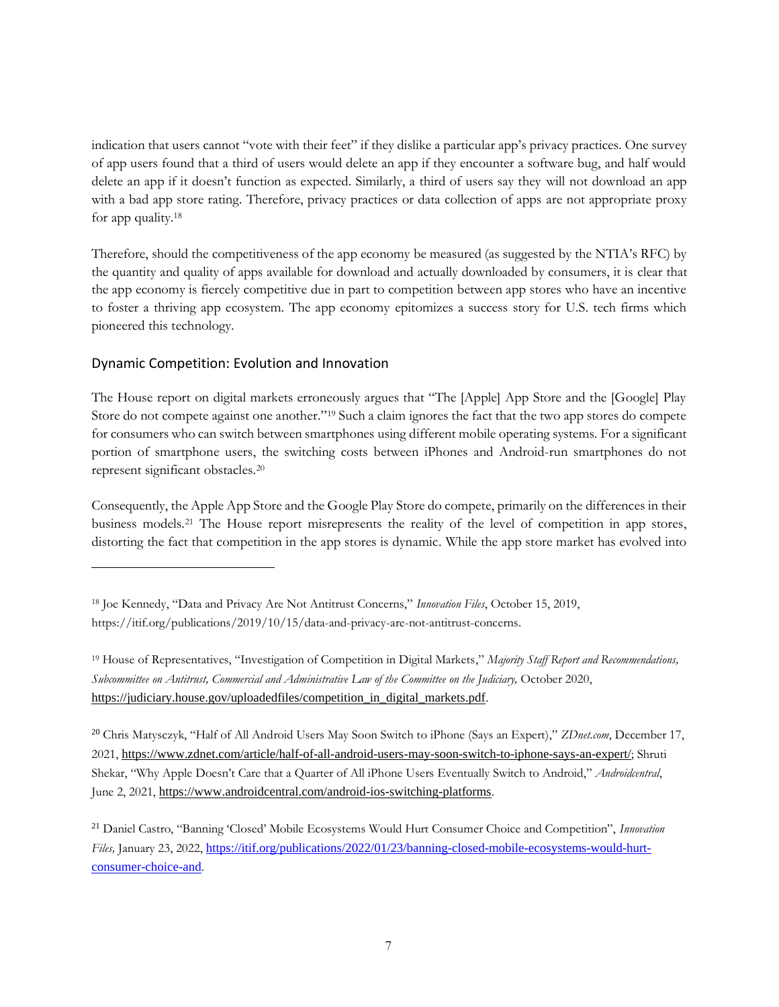indication that users cannot "vote with their feet" if they dislike a particular app's privacy practices. One survey of app users found that a third of users would delete an app if they encounter a software bug, and half would delete an app if it doesn't function as expected. Similarly, a third of users say they will not download an app with a bad app store rating. Therefore, privacy practices or data collection of apps are not appropriate proxy for app quality.<sup>18</sup>

Therefore, should the competitiveness of the app economy be measured (as suggested by the NTIA's RFC) by the quantity and quality of apps available for download and actually downloaded by consumers, it is clear that the app economy is fiercely competitive due in part to competition between app stores who have an incentive to foster a thriving app ecosystem. The app economy epitomizes a success story for U.S. tech firms which pioneered this technology.

# <span id="page-6-0"></span>Dynamic Competition: Evolution and Innovation

The House report on digital markets erroneously argues that "The [Apple] App Store and the [Google] Play Store do not compete against one another."<sup>19</sup> Such a claim ignores the fact that the two app stores do compete for consumers who can switch between smartphones using different mobile operating systems. For a significant portion of smartphone users, the switching costs between iPhones and Android-run smartphones do not represent significant obstacles.<sup>20</sup>

Consequently, the Apple App Store and the Google Play Store do compete, primarily on the differences in their business models.<sup>21</sup> The House report misrepresents the reality of the level of competition in app stores, distorting the fact that competition in the app stores is dynamic. While the app store market has evolved into

<sup>20</sup> Chris Matysczyk, "Half of All Android Users May Soon Switch to iPhone (Says an Expert)," *ZDnet.com*, December 17, 2021, <https://www.zdnet.com/article/half-of-all-android-users-may-soon-switch-to-iphone-says-an-expert/>; Shruti Shekar, "Why Apple Doesn't Care that a Quarter of All iPhone Users Eventually Switch to Android," *Androidcentral*, June 2, 2021, <https://www.androidcentral.com/android-ios-switching-platforms>.

<sup>18</sup> Joe Kennedy, "Data and Privacy Are Not Antitrust Concerns," *Innovation Files*, October 15, 2019, https://itif.org/publications/2019/10/15/data-and-privacy-are-not-antitrust-concerns.

<sup>19</sup> House of Representatives, "Investigation of Competition in Digital Markets," *Majority Staff Report and Recommendations, Subcommittee on Antitrust, Commercial and Administrative Law of the Committee on the Judiciary,* October 2020, [https://judiciary.house.gov/uploadedfiles/competition\\_in\\_digital\\_markets.pdf](https://judiciary.house.gov/uploadedfiles/competition_in_digital_markets.pdf).

<sup>21</sup> Daniel Castro, "Banning 'Closed' Mobile Ecosystems Would Hurt Consumer Choice and Competition", *Innovation Files, January 23, 2022, [https://itif.org/publications/2022/01/23/banning-closed-mobile-ecosystems-would-hurt](https://itif.org/publications/2022/01/23/banning-closed-mobile-ecosystems-would-hurt-consumer-choice-and)*[consumer-choice-and](https://itif.org/publications/2022/01/23/banning-closed-mobile-ecosystems-would-hurt-consumer-choice-and).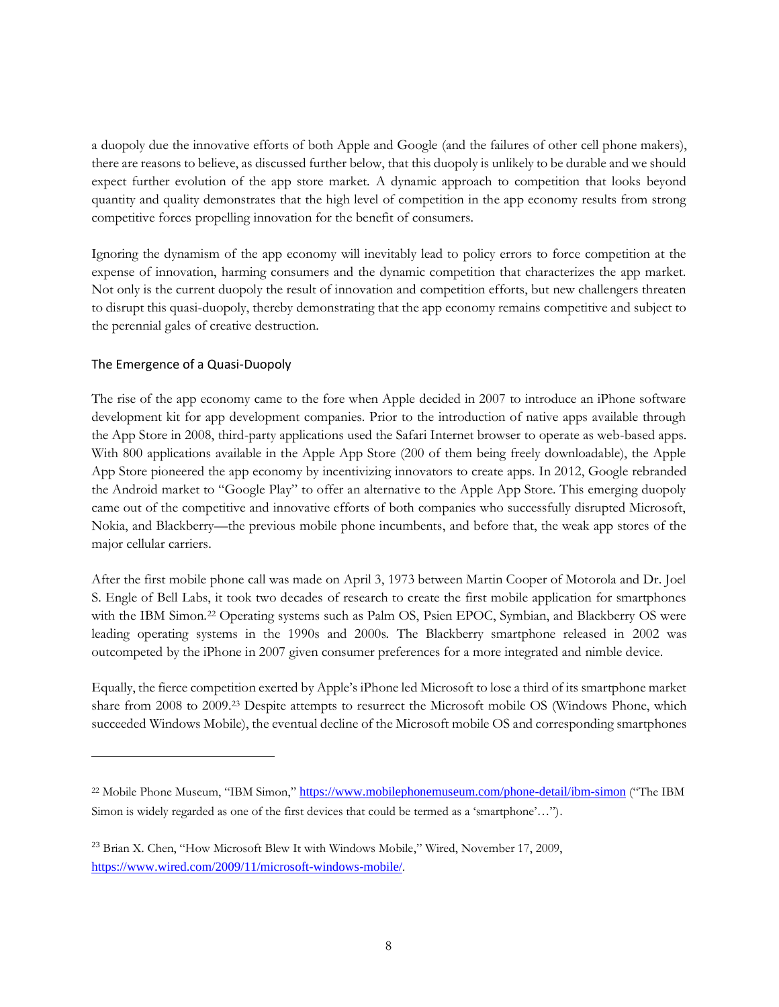a duopoly due the innovative efforts of both Apple and Google (and the failures of other cell phone makers), there are reasons to believe, as discussed further below, that this duopoly is unlikely to be durable and we should expect further evolution of the app store market. A dynamic approach to competition that looks beyond quantity and quality demonstrates that the high level of competition in the app economy results from strong competitive forces propelling innovation for the benefit of consumers.

Ignoring the dynamism of the app economy will inevitably lead to policy errors to force competition at the expense of innovation, harming consumers and the dynamic competition that characterizes the app market. Not only is the current duopoly the result of innovation and competition efforts, but new challengers threaten to disrupt this quasi-duopoly, thereby demonstrating that the app economy remains competitive and subject to the perennial gales of creative destruction.

## <span id="page-7-0"></span>The Emergence of a Quasi-Duopoly

The rise of the app economy came to the fore when Apple decided in 2007 to introduce an iPhone software development kit for app development companies. Prior to the introduction of native apps available through the App Store in 2008, third-party applications used the Safari Internet browser to operate as web-based apps. With 800 applications available in the Apple App Store (200 of them being freely downloadable), the Apple App Store pioneered the app economy by incentivizing innovators to create apps. In 2012, Google rebranded the Android market to "Google Play" to offer an alternative to the Apple App Store. This emerging duopoly came out of the competitive and innovative efforts of both companies who successfully disrupted Microsoft, Nokia, and Blackberry—the previous mobile phone incumbents, and before that, the weak app stores of the major cellular carriers.

After the first mobile phone call was made on April 3, 1973 between Martin Cooper of Motorola and Dr. Joel S. Engle of Bell Labs, it took two decades of research to create the first mobile application for smartphones with the IBM Simon.<sup>22</sup> Operating systems such as Palm OS, Psien EPOC, Symbian, and Blackberry OS were leading operating systems in the 1990s and 2000s. The Blackberry smartphone released in 2002 was outcompeted by the iPhone in 2007 given consumer preferences for a more integrated and nimble device.

Equally, the fierce competition exerted by Apple's iPhone led Microsoft to lose a third of its smartphone market share from 2008 to 2009.<sup>23</sup> Despite attempts to resurrect the Microsoft mobile OS (Windows Phone, which succeeded Windows Mobile), the eventual decline of the Microsoft mobile OS and corresponding smartphones

<sup>&</sup>lt;sup>22</sup> Mobile Phone Museum, "IBM Simon," <https://www.mobilephonemuseum.com/phone-detail/ibm-simon> ("The IBM Simon is widely regarded as one of the first devices that could be termed as a 'smartphone'…").

<sup>23</sup> Brian X. Chen, "How Microsoft Blew It with Windows Mobile," Wired, November 17, 2009, <https://www.wired.com/2009/11/microsoft-windows-mobile/>.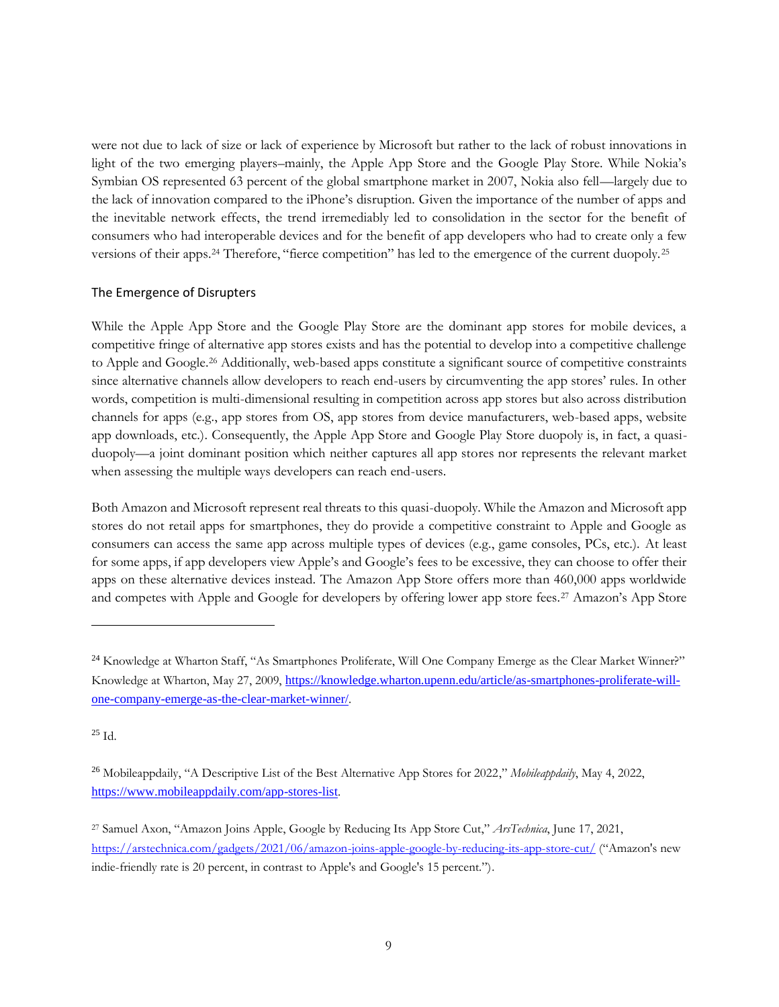were not due to lack of size or lack of experience by Microsoft but rather to the lack of robust innovations in light of the two emerging players–mainly, the Apple App Store and the Google Play Store. While Nokia's Symbian OS represented 63 percent of the global smartphone market in 2007, Nokia also fell—largely due to the lack of innovation compared to the iPhone's disruption. Given the importance of the number of apps and the inevitable network effects, the trend irremediably led to consolidation in the sector for the benefit of consumers who had interoperable devices and for the benefit of app developers who had to create only a few versions of their apps.<sup>24</sup> Therefore, "fierce competition" has led to the emergence of the current duopoly.<sup>25</sup>

#### <span id="page-8-0"></span>The Emergence of Disrupters

While the Apple App Store and the Google Play Store are the dominant app stores for mobile devices, a competitive fringe of alternative app stores exists and has the potential to develop into a competitive challenge to Apple and Google. <sup>26</sup> Additionally, web-based apps constitute a significant source of competitive constraints since alternative channels allow developers to reach end-users by circumventing the app stores' rules. In other words, competition is multi-dimensional resulting in competition across app stores but also across distribution channels for apps (e.g., app stores from OS, app stores from device manufacturers, web-based apps, website app downloads, etc.). Consequently, the Apple App Store and Google Play Store duopoly is, in fact, a quasiduopoly—a joint dominant position which neither captures all app stores nor represents the relevant market when assessing the multiple ways developers can reach end-users.

Both Amazon and Microsoft represent real threats to this quasi-duopoly. While the Amazon and Microsoft app stores do not retail apps for smartphones, they do provide a competitive constraint to Apple and Google as consumers can access the same app across multiple types of devices (e.g., game consoles, PCs, etc.). At least for some apps, if app developers view Apple's and Google's fees to be excessive, they can choose to offer their apps on these alternative devices instead. The Amazon App Store offers more than 460,000 apps worldwide and competes with Apple and Google for developers by offering lower app store fees.<sup>27</sup> Amazon's App Store

 $25$  Id.

<sup>&</sup>lt;sup>24</sup> Knowledge at Wharton Staff, "As Smartphones Proliferate, Will One Company Emerge as the Clear Market Winner?" Knowledge at Wharton, May 27, 2009, [https://knowledge.wharton.upenn.edu/article/as-smartphones-proliferate-will](https://knowledge.wharton.upenn.edu/article/as-smartphones-proliferate-will-one-company-emerge-as-the-clear-market-winner/)[one-company-emerge-as-the-clear-market-winner/](https://knowledge.wharton.upenn.edu/article/as-smartphones-proliferate-will-one-company-emerge-as-the-clear-market-winner/).

<sup>26</sup> Mobileappdaily, "A Descriptive List of the Best Alternative App Stores for 2022," *Mobileappdaily*, May 4, 2022, <https://www.mobileappdaily.com/app-stores-list>.

<sup>27</sup> Samuel Axon, "Amazon Joins Apple, Google by Reducing Its App Store Cut," *ArsTechnica*, June 17, 2021, <https://arstechnica.com/gadgets/2021/06/amazon-joins-apple-google-by-reducing-its-app-store-cut/> ("Amazon's new indie-friendly rate is 20 percent, in contrast to Apple's and Google's 15 percent.").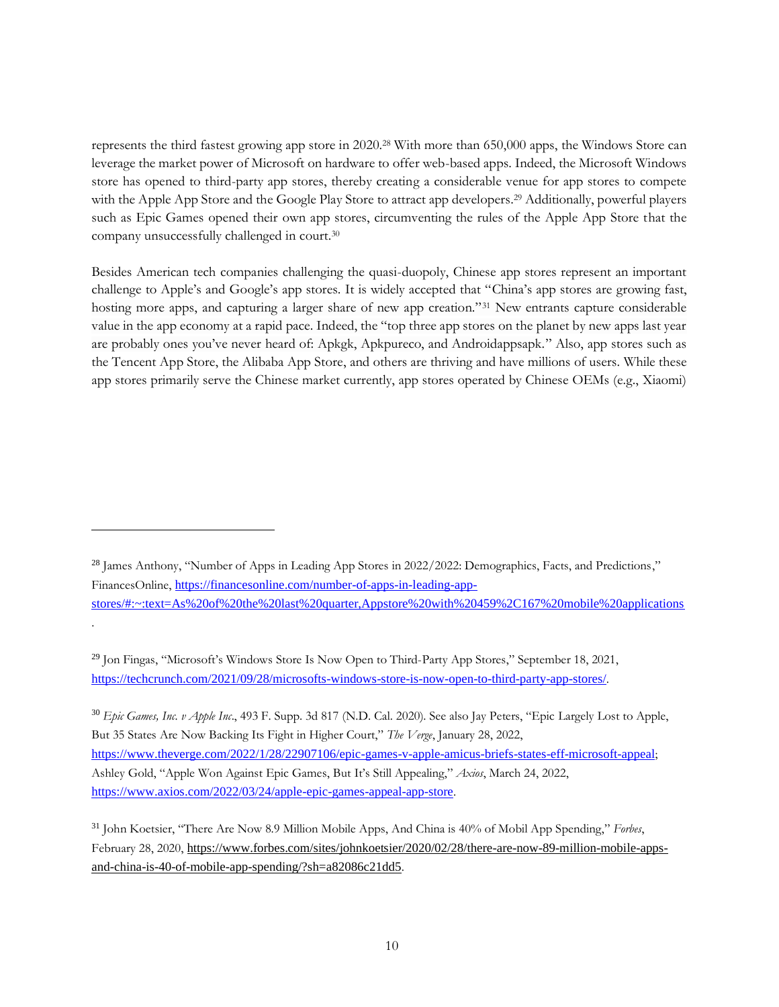represents the third fastest growing app store in 2020.<sup>28</sup> With more than 650,000 apps, the Windows Store can leverage the market power of Microsoft on hardware to offer web-based apps. Indeed, the Microsoft Windows store has opened to third-party app stores, thereby creating a considerable venue for app stores to compete with the Apple App Store and the Google Play Store to attract app developers. <sup>29</sup> Additionally, powerful players such as Epic Games opened their own app stores, circumventing the rules of the Apple App Store that the company unsuccessfully challenged in court.<sup>30</sup>

Besides American tech companies challenging the quasi-duopoly, Chinese app stores represent an important challenge to Apple's and Google's app stores. It is widely accepted that "China's app stores are growing fast, hosting more apps, and capturing a larger share of new app creation."<sup>31</sup> New entrants capture considerable value in the app economy at a rapid pace. Indeed, the "top three app stores on the planet by new apps last year are probably ones you've never heard of: Apkgk, Apkpureco, and Androidappsapk." Also, app stores such as the Tencent App Store, the Alibaba App Store, and others are thriving and have millions of users. While these app stores primarily serve the Chinese market currently, app stores operated by Chinese OEMs (e.g., Xiaomi)

.

<sup>30</sup> *Epic Games, Inc. v Apple Inc*., 493 F. Supp. 3d 817 (N.D. Cal. 2020). See also Jay Peters, "Epic Largely Lost to Apple, But 35 States Are Now Backing Its Fight in Higher Court," *The Verge*, January 28, 2022, <https://www.theverge.com/2022/1/28/22907106/epic-games-v-apple-amicus-briefs-states-eff-microsoft-appeal>; Ashley Gold, "Apple Won Against Epic Games, But It's Still Appealing," *Axios*, March 24, 2022, <https://www.axios.com/2022/03/24/apple-epic-games-appeal-app-store>.

<sup>&</sup>lt;sup>28</sup> James Anthony, "Number of Apps in Leading App Stores in 2022/2022: Demographics, Facts, and Predictions," FinancesOnline, [https://financesonline.com/number-of-apps-in-leading-app](https://financesonline.com/number-of-apps-in-leading-app-stores/#:~:text=As%20of%20the%20last%20quarter,Appstore%20with%20459%2C167%20mobile%20applications)[stores/#:~:text=As%20of%20the%20last%20quarter,Appstore%20with%20459%2C167%20mobile%20applications](https://financesonline.com/number-of-apps-in-leading-app-stores/#:~:text=As%20of%20the%20last%20quarter,Appstore%20with%20459%2C167%20mobile%20applications)

<sup>29</sup> Jon Fingas, "Microsoft's Windows Store Is Now Open to Third-Party App Stores," September 18, 2021, <https://techcrunch.com/2021/09/28/microsofts-windows-store-is-now-open-to-third-party-app-stores/>.

<sup>31</sup> John Koetsier, "There Are Now 8.9 Million Mobile Apps, And China is 40% of Mobil App Spending," *Forbes*, February 28, 2020, [https://www.forbes.com/sites/johnkoetsier/2020/02/28/there-are-now-89-million-mobile-apps](https://www.forbes.com/sites/johnkoetsier/2020/02/28/there-are-now-89-million-mobile-apps-and-china-is-40-of-mobile-app-spending/?sh=a82086c21dd5)[and-china-is-40-of-mobile-app-spending/?sh=a82086c21dd5](https://www.forbes.com/sites/johnkoetsier/2020/02/28/there-are-now-89-million-mobile-apps-and-china-is-40-of-mobile-app-spending/?sh=a82086c21dd5).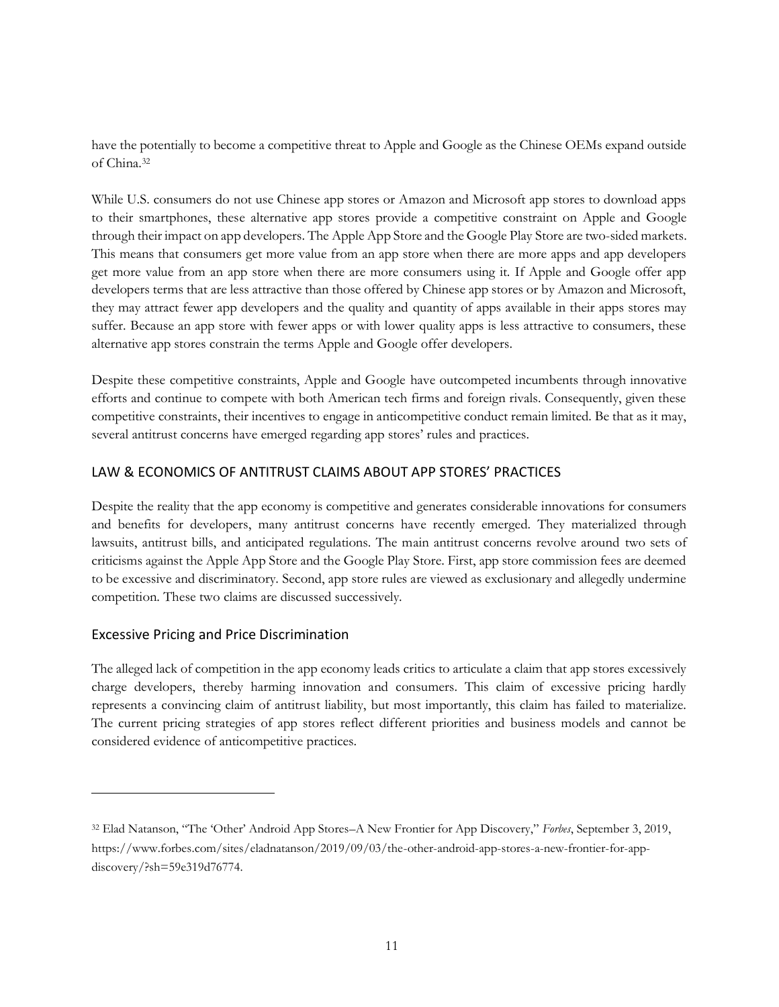have the potentially to become a competitive threat to Apple and Google as the Chinese OEMs expand outside of China.<sup>32</sup>

While U.S. consumers do not use Chinese app stores or Amazon and Microsoft app stores to download apps to their smartphones, these alternative app stores provide a competitive constraint on Apple and Google through their impact on app developers. The Apple App Store and the Google Play Store are two-sided markets. This means that consumers get more value from an app store when there are more apps and app developers get more value from an app store when there are more consumers using it. If Apple and Google offer app developers terms that are less attractive than those offered by Chinese app stores or by Amazon and Microsoft, they may attract fewer app developers and the quality and quantity of apps available in their apps stores may suffer. Because an app store with fewer apps or with lower quality apps is less attractive to consumers, these alternative app stores constrain the terms Apple and Google offer developers.

Despite these competitive constraints, Apple and Google have outcompeted incumbents through innovative efforts and continue to compete with both American tech firms and foreign rivals. Consequently, given these competitive constraints, their incentives to engage in anticompetitive conduct remain limited. Be that as it may, several antitrust concerns have emerged regarding app stores' rules and practices.

## <span id="page-10-0"></span>LAW & ECONOMICS OF ANTITRUST CLAIMS ABOUT APP STORES' PRACTICES

Despite the reality that the app economy is competitive and generates considerable innovations for consumers and benefits for developers, many antitrust concerns have recently emerged. They materialized through lawsuits, antitrust bills, and anticipated regulations. The main antitrust concerns revolve around two sets of criticisms against the Apple App Store and the Google Play Store. First, app store commission fees are deemed to be excessive and discriminatory. Second, app store rules are viewed as exclusionary and allegedly undermine competition. These two claims are discussed successively.

## <span id="page-10-1"></span>Excessive Pricing and Price Discrimination

The alleged lack of competition in the app economy leads critics to articulate a claim that app stores excessively charge developers, thereby harming innovation and consumers. This claim of excessive pricing hardly represents a convincing claim of antitrust liability, but most importantly, this claim has failed to materialize. The current pricing strategies of app stores reflect different priorities and business models and cannot be considered evidence of anticompetitive practices.

<sup>32</sup> Elad Natanson, "The 'Other' Android App Stores–A New Frontier for App Discovery," *Forbes*, September 3, 2019, https://www.forbes.com/sites/eladnatanson/2019/09/03/the-other-android-app-stores-a-new-frontier-for-appdiscovery/?sh=59e319d76774.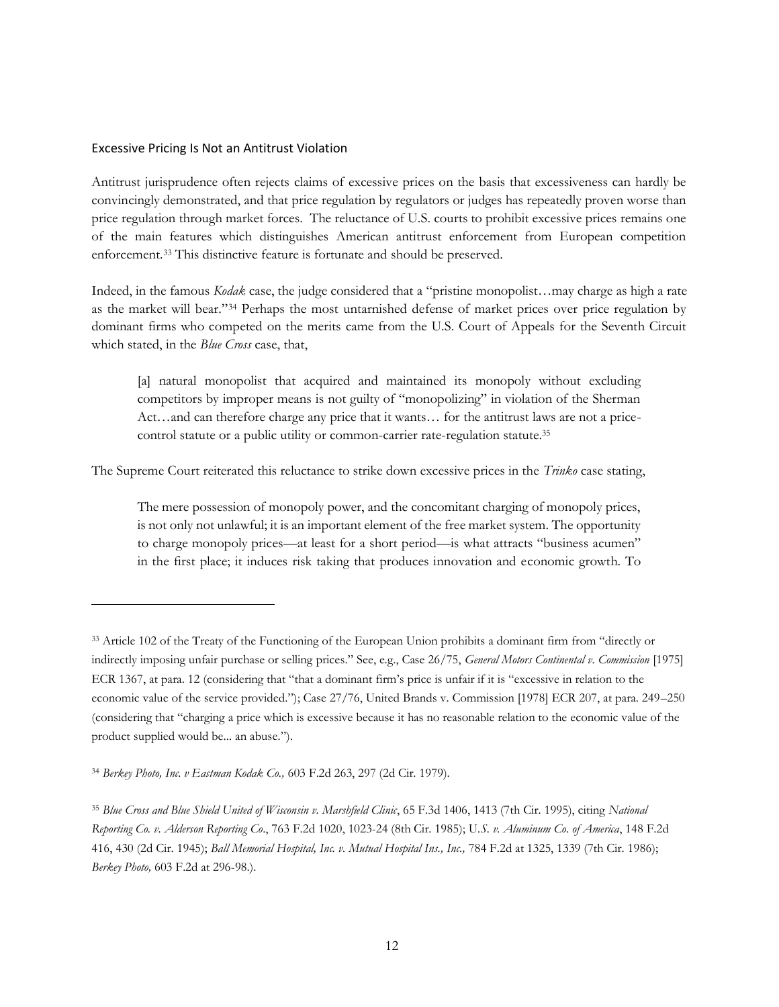#### <span id="page-11-0"></span>Excessive Pricing Is Not an Antitrust Violation

Antitrust jurisprudence often rejects claims of excessive prices on the basis that excessiveness can hardly be convincingly demonstrated, and that price regulation by regulators or judges has repeatedly proven worse than price regulation through market forces. The reluctance of U.S. courts to prohibit excessive prices remains one of the main features which distinguishes American antitrust enforcement from European competition enforcement.<sup>33</sup> This distinctive feature is fortunate and should be preserved.

Indeed, in the famous *Kodak* case, the judge considered that a "pristine monopolist…may charge as high a rate as the market will bear."<sup>34</sup> Perhaps the most untarnished defense of market prices over price regulation by dominant firms who competed on the merits came from the U.S. Court of Appeals for the Seventh Circuit which stated, in the *Blue Cross* case, that,

[a] natural monopolist that acquired and maintained its monopoly without excluding competitors by improper means is not guilty of "monopolizing" in violation of the Sherman Act…and can therefore charge any price that it wants… for the antitrust laws are not a pricecontrol statute or a public utility or common-carrier rate-regulation statute.<sup>35</sup>

The Supreme Court reiterated this reluctance to strike down excessive prices in the *Trinko* case stating,

The mere possession of monopoly power, and the concomitant charging of monopoly prices, is not only not unlawful; it is an important element of the free market system. The opportunity to charge monopoly prices—at least for a short period—is what attracts "business acumen" in the first place; it induces risk taking that produces innovation and economic growth. To

<sup>33</sup> Article 102 of the Treaty of the Functioning of the European Union prohibits a dominant firm from "directly or indirectly imposing unfair purchase or selling prices." See, e.g., Case 26/75, *General Motors Continental v. Commission* [1975] ECR 1367, at para. 12 (considering that "that a dominant firm's price is unfair if it is "excessive in relation to the economic value of the service provided."); Case 27/76, United Brands v. Commission [1978] ECR 207, at para. 249–250 (considering that "charging a price which is excessive because it has no reasonable relation to the economic value of the product supplied would be... an abuse.").

<sup>34</sup> *Berkey Photo, Inc. v Eastman Kodak Co.,* 603 F.2d 263, 297 (2d Cir. 1979).

<sup>35</sup> *Blue Cross and Blue Shield United of Wisconsin v. Marshfield Clinic*, 65 F.3d 1406, 1413 (7th Cir. 1995), citing *National Reporting Co. v. Alderson Reporting Co*., 763 F.2d 1020, 1023-24 (8th Cir. 1985); U*.S. v. Aluminum Co. of America*, 148 F.2d 416, 430 (2d Cir. 1945); *Ball Memorial Hospital, Inc. v. Mutual Hospital Ins., Inc.,* 784 F.2d at 1325, 1339 (7th Cir. 1986); *Berkey Photo,* 603 F.2d at 296-98.).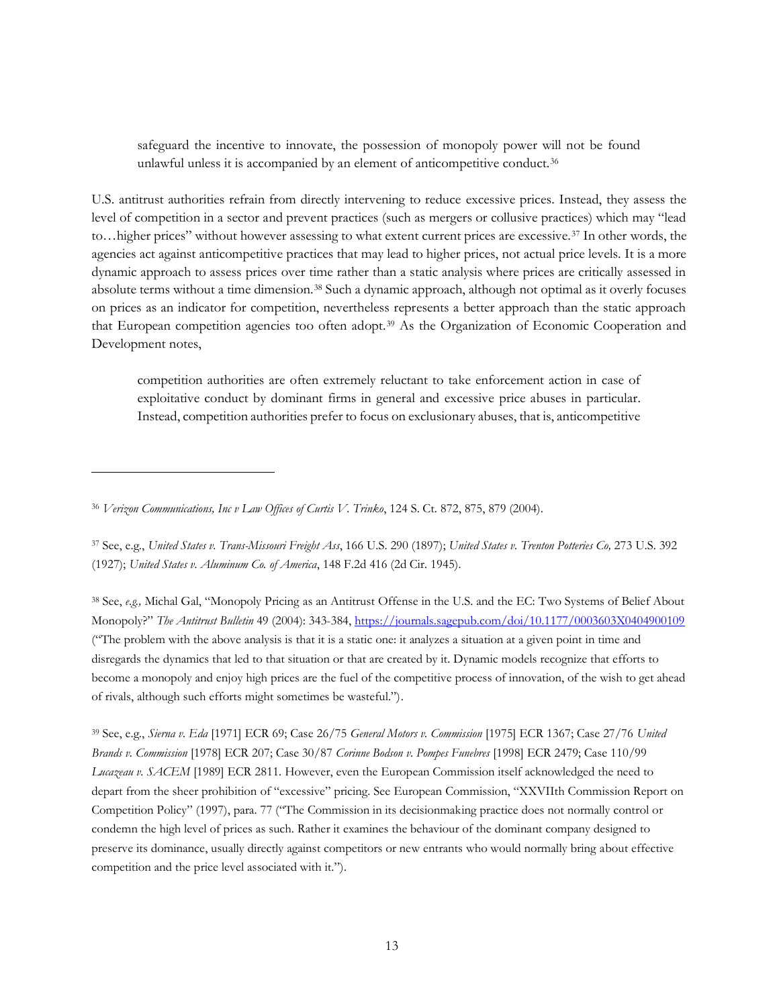safeguard the incentive to innovate, the possession of monopoly power will not be found unlawful unless it is accompanied by an element of anticompetitive conduct.<sup>36</sup>

U.S. antitrust authorities refrain from directly intervening to reduce excessive prices. Instead, they assess the level of competition in a sector and prevent practices (such as mergers or collusive practices) which may "lead to…higher prices" without however assessing to what extent current prices are excessive.<sup>37</sup> In other words, the agencies act against anticompetitive practices that may lead to higher prices, not actual price levels. It is a more dynamic approach to assess prices over time rather than a static analysis where prices are critically assessed in absolute terms without a time dimension.<sup>38</sup> Such a dynamic approach, although not optimal as it overly focuses on prices as an indicator for competition, nevertheless represents a better approach than the static approach that European competition agencies too often adopt.<sup>39</sup> As the Organization of Economic Cooperation and Development notes,

competition authorities are often extremely reluctant to take enforcement action in case of exploitative conduct by dominant firms in general and excessive price abuses in particular. Instead, competition authorities prefer to focus on exclusionary abuses, that is, anticompetitive

<sup>37</sup> See, e.g., *United States v. Trans-Missouri Freight Ass*, 166 U.S. 290 (1897); *United States v. Trenton Potteries Co,* 273 U.S. 392 (1927); *United States v. Aluminum Co. of America*, 148 F.2d 416 (2d Cir. 1945).

<sup>38</sup> See, *e.g.,* Michal Gal, "Monopoly Pricing as an Antitrust Offense in the U.S. and the EC: Two Systems of Belief About Monopoly?" *The Antitrust Bulletin* 49 (2004): 343-384[, https://journals.sagepub.com/doi/10.1177/0003603X0404900109](https://journals.sagepub.com/doi/10.1177/0003603X0404900109) ("The problem with the above analysis is that it is a static one: it analyzes a situation at a given point in time and disregards the dynamics that led to that situation or that are created by it. Dynamic models recognize that efforts to become a monopoly and enjoy high prices are the fuel of the competitive process of innovation, of the wish to get ahead of rivals, although such efforts might sometimes be wasteful.").

<sup>39</sup> See, e.g., *Sierna v. Eda* [1971] ECR 69; Case 26/75 *General Motors v. Commission* [1975] ECR 1367; Case 27/76 *United Brands v. Commission* [1978] ECR 207; Case 30/87 *Corinne Bodson v. Pompes Funebres* [1998] ECR 2479; Case 110/99 *Lucazeau v. SACEM* [1989] ECR 2811. However, even the European Commission itself acknowledged the need to depart from the sheer prohibition of "excessive" pricing. See European Commission, "XXVIIth Commission Report on Competition Policy" (1997), para. 77 ("The Commission in its decisionmaking practice does not normally control or condemn the high level of prices as such. Rather it examines the behaviour of the dominant company designed to preserve its dominance, usually directly against competitors or new entrants who would normally bring about effective competition and the price level associated with it.").

<sup>36</sup> *Verizon Communications, Inc v Law Offices of Curtis V. Trinko*, 124 S. Ct. 872, 875, 879 (2004).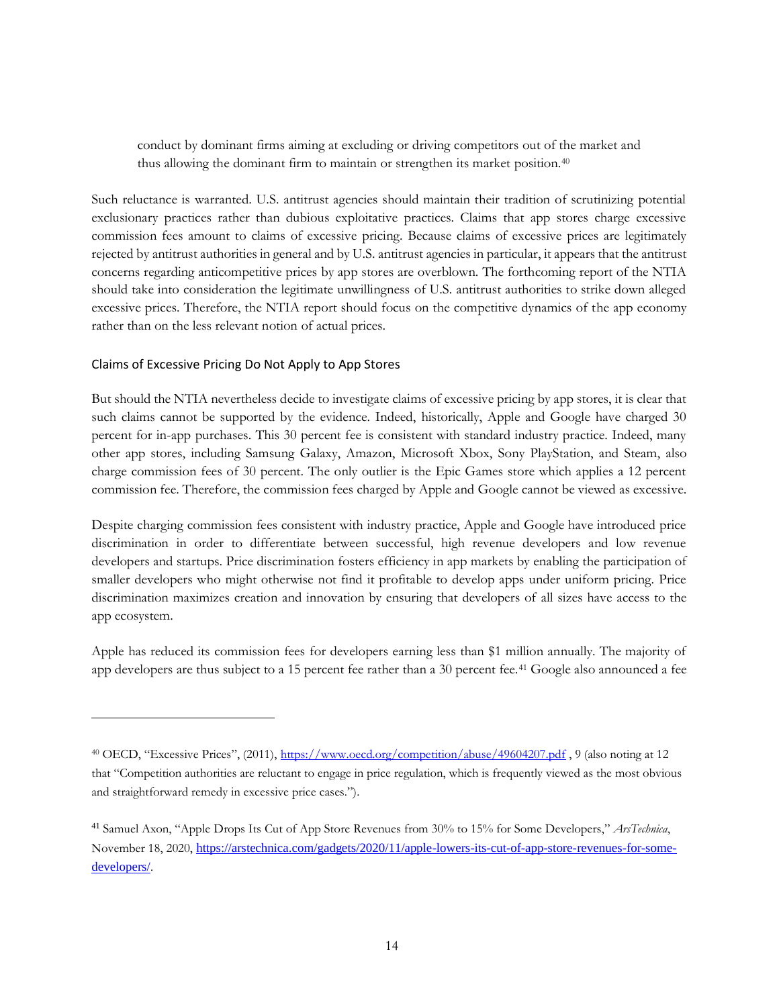conduct by dominant firms aiming at excluding or driving competitors out of the market and thus allowing the dominant firm to maintain or strengthen its market position.<sup>40</sup>

Such reluctance is warranted. U.S. antitrust agencies should maintain their tradition of scrutinizing potential exclusionary practices rather than dubious exploitative practices. Claims that app stores charge excessive commission fees amount to claims of excessive pricing. Because claims of excessive prices are legitimately rejected by antitrust authorities in general and by U.S. antitrust agencies in particular, it appears that the antitrust concerns regarding anticompetitive prices by app stores are overblown. The forthcoming report of the NTIA should take into consideration the legitimate unwillingness of U.S. antitrust authorities to strike down alleged excessive prices. Therefore, the NTIA report should focus on the competitive dynamics of the app economy rather than on the less relevant notion of actual prices.

#### <span id="page-13-0"></span>Claims of Excessive Pricing Do Not Apply to App Stores

But should the NTIA nevertheless decide to investigate claims of excessive pricing by app stores, it is clear that such claims cannot be supported by the evidence. Indeed, historically, Apple and Google have charged 30 percent for in-app purchases. This 30 percent fee is consistent with standard industry practice. Indeed, many other app stores, including Samsung Galaxy, Amazon, Microsoft Xbox, Sony PlayStation, and Steam, also charge commission fees of 30 percent. The only outlier is the Epic Games store which applies a 12 percent commission fee. Therefore, the commission fees charged by Apple and Google cannot be viewed as excessive.

Despite charging commission fees consistent with industry practice, Apple and Google have introduced price discrimination in order to differentiate between successful, high revenue developers and low revenue developers and startups. Price discrimination fosters efficiency in app markets by enabling the participation of smaller developers who might otherwise not find it profitable to develop apps under uniform pricing. Price discrimination maximizes creation and innovation by ensuring that developers of all sizes have access to the app ecosystem.

Apple has reduced its commission fees for developers earning less than \$1 million annually. The majority of app developers are thus subject to a 15 percent fee rather than a 30 percent fee.<sup>41</sup> Google also announced a fee

<sup>40</sup> OECD, "Excessive Prices", (2011), <https://www.oecd.org/competition/abuse/49604207.pdf> , 9 (also noting at 12 that "Competition authorities are reluctant to engage in price regulation, which is frequently viewed as the most obvious and straightforward remedy in excessive price cases.").

<sup>41</sup> Samuel Axon, "Apple Drops Its Cut of App Store Revenues from 30% to 15% for Some Developers," *ArsTechnica*, November 18, 2020, [https://arstechnica.com/gadgets/2020/11/apple-lowers-its-cut-of-app-store-revenues-for-some](https://arstechnica.com/gadgets/2020/11/apple-lowers-its-cut-of-app-store-revenues-for-some-developers/)[developers/](https://arstechnica.com/gadgets/2020/11/apple-lowers-its-cut-of-app-store-revenues-for-some-developers/).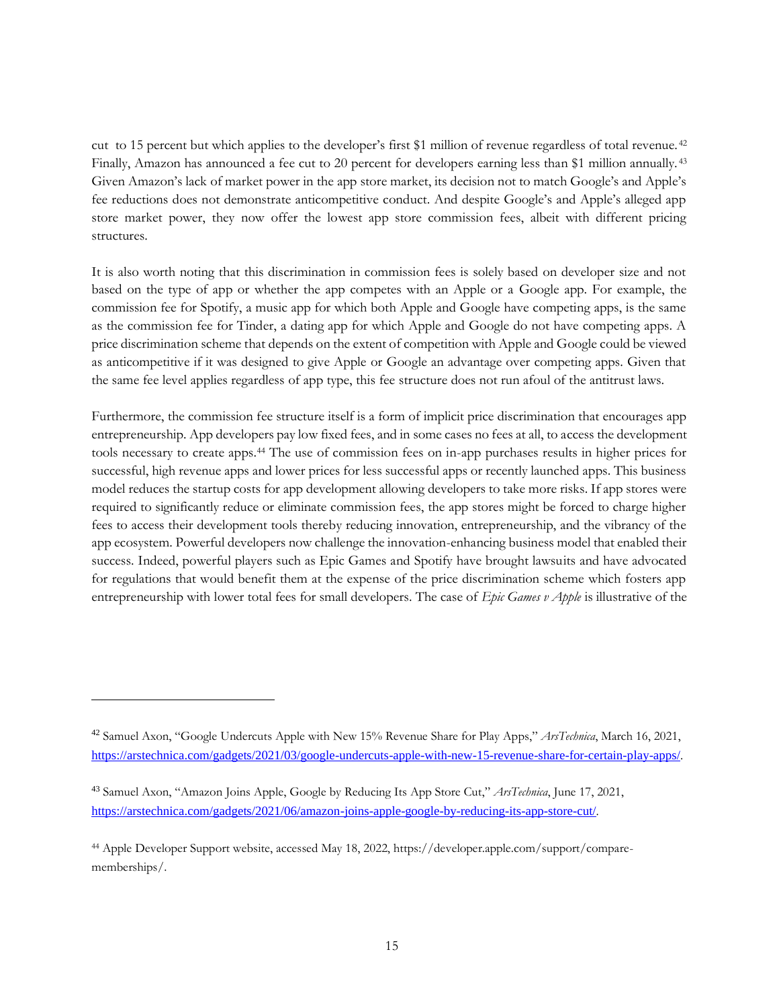cut to 15 percent but which applies to the developer's first \$1 million of revenue regardless of total revenue. <sup>42</sup> Finally, Amazon has announced a fee cut to 20 percent for developers earning less than \$1 million annually. <sup>43</sup> Given Amazon's lack of market power in the app store market, its decision not to match Google's and Apple's fee reductions does not demonstrate anticompetitive conduct. And despite Google's and Apple's alleged app store market power, they now offer the lowest app store commission fees, albeit with different pricing structures.

It is also worth noting that this discrimination in commission fees is solely based on developer size and not based on the type of app or whether the app competes with an Apple or a Google app. For example, the commission fee for Spotify, a music app for which both Apple and Google have competing apps, is the same as the commission fee for Tinder, a dating app for which Apple and Google do not have competing apps. A price discrimination scheme that depends on the extent of competition with Apple and Google could be viewed as anticompetitive if it was designed to give Apple or Google an advantage over competing apps. Given that the same fee level applies regardless of app type, this fee structure does not run afoul of the antitrust laws.

Furthermore, the commission fee structure itself is a form of implicit price discrimination that encourages app entrepreneurship. App developers pay low fixed fees, and in some cases no fees at all, to access the development tools necessary to create apps.<sup>44</sup> The use of commission fees on in-app purchases results in higher prices for successful, high revenue apps and lower prices for less successful apps or recently launched apps. This business model reduces the startup costs for app development allowing developers to take more risks. If app stores were required to significantly reduce or eliminate commission fees, the app stores might be forced to charge higher fees to access their development tools thereby reducing innovation, entrepreneurship, and the vibrancy of the app ecosystem. Powerful developers now challenge the innovation-enhancing business model that enabled their success. Indeed, powerful players such as Epic Games and Spotify have brought lawsuits and have advocated for regulations that would benefit them at the expense of the price discrimination scheme which fosters app entrepreneurship with lower total fees for small developers. The case of *Epic Games v Apple* is illustrative of the

<sup>42</sup> Samuel Axon, "Google Undercuts Apple with New 15% Revenue Share for Play Apps," *ArsTechnica*, March 16, 2021, <https://arstechnica.com/gadgets/2021/03/google-undercuts-apple-with-new-15-revenue-share-for-certain-play-apps/>.

<sup>43</sup> Samuel Axon, "Amazon Joins Apple, Google by Reducing Its App Store Cut," *ArsTechnica*, June 17, 2021, <https://arstechnica.com/gadgets/2021/06/amazon-joins-apple-google-by-reducing-its-app-store-cut/>.

<sup>44</sup> Apple Developer Support website, accessed May 18, 2022, https://developer.apple.com/support/comparememberships/.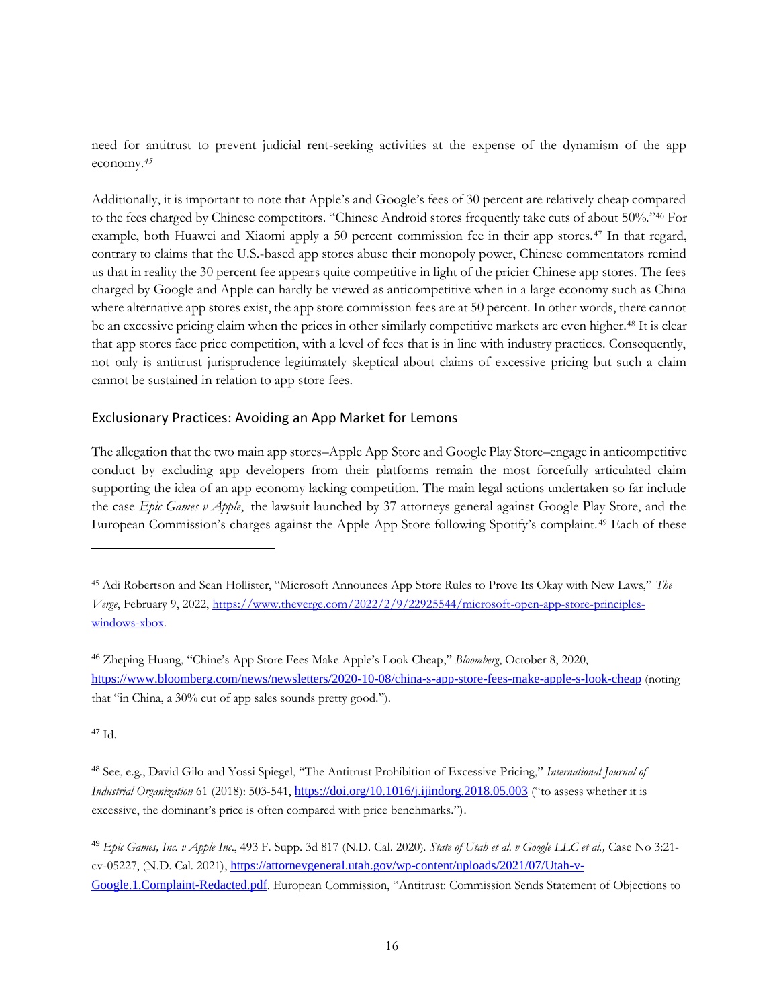need for antitrust to prevent judicial rent-seeking activities at the expense of the dynamism of the app economy.*<sup>45</sup>*

Additionally, it is important to note that Apple's and Google's fees of 30 percent are relatively cheap compared to the fees charged by Chinese competitors. "Chinese Android stores frequently take cuts of about 50%."<sup>46</sup> For example, both Huawei and Xiaomi apply a 50 percent commission fee in their app stores.<sup>47</sup> In that regard, contrary to claims that the U.S.-based app stores abuse their monopoly power, Chinese commentators remind us that in reality the 30 percent fee appears quite competitive in light of the pricier Chinese app stores. The fees charged by Google and Apple can hardly be viewed as anticompetitive when in a large economy such as China where alternative app stores exist, the app store commission fees are at 50 percent. In other words, there cannot be an excessive pricing claim when the prices in other similarly competitive markets are even higher.<sup>48</sup> It is clear that app stores face price competition, with a level of fees that is in line with industry practices. Consequently, not only is antitrust jurisprudence legitimately skeptical about claims of excessive pricing but such a claim cannot be sustained in relation to app store fees.

#### <span id="page-15-0"></span>Exclusionary Practices: Avoiding an App Market for Lemons

The allegation that the two main app stores–Apple App Store and Google Play Store–engage in anticompetitive conduct by excluding app developers from their platforms remain the most forcefully articulated claim supporting the idea of an app economy lacking competition. The main legal actions undertaken so far include the case *Epic Games v Apple*, the lawsuit launched by 37 attorneys general against Google Play Store, and the European Commission's charges against the Apple App Store following Spotify's complaint. <sup>49</sup> Each of these

<sup>47</sup> Id.

<sup>45</sup> Adi Robertson and Sean Hollister, "Microsoft Announces App Store Rules to Prove Its Okay with New Laws," *The Verge*, February 9, 2022, [https://www.theverge.com/2022/2/9/22925544/microsoft-open-app-store-principles](https://www.theverge.com/2022/2/9/22925544/microsoft-open-app-store-principles-windows-xbox)[windows-xbox.](https://www.theverge.com/2022/2/9/22925544/microsoft-open-app-store-principles-windows-xbox)

<sup>46</sup> Zheping Huang, "Chine's App Store Fees Make Apple's Look Cheap," *Bloomberg*, October 8, 2020, <https://www.bloomberg.com/news/newsletters/2020-10-08/china-s-app-store-fees-make-apple-s-look-cheap> (noting that "in China, a 30% cut of app sales sounds pretty good.").

<sup>48</sup> See, e.g., David Gilo and Yossi Spiegel, "The Antitrust Prohibition of Excessive Pricing," *International Journal of Industrial Organization* 61 (2018): 503-541, <https://doi.org/10.1016/j.ijindorg.2018.05.003> ("to assess whether it is excessive, the dominant's price is often compared with price benchmarks.").

<sup>49</sup> *Epic Games, Inc. v Apple Inc*., 493 F. Supp. 3d 817 (N.D. Cal. 2020). *State of Utah et al. v Google LLC et al.,* Case No 3:21 cv-05227, (N.D. Cal. 2021), [https://attorneygeneral.utah.gov/wp-content/uploads/2021/07/Utah-v-](https://attorneygeneral.utah.gov/wp-content/uploads/2021/07/Utah-v-Google.1.Complaint-Redacted.pdf)[Google.1.Complaint-Redacted.pdf](https://attorneygeneral.utah.gov/wp-content/uploads/2021/07/Utah-v-Google.1.Complaint-Redacted.pdf). European Commission, "Antitrust: Commission Sends Statement of Objections to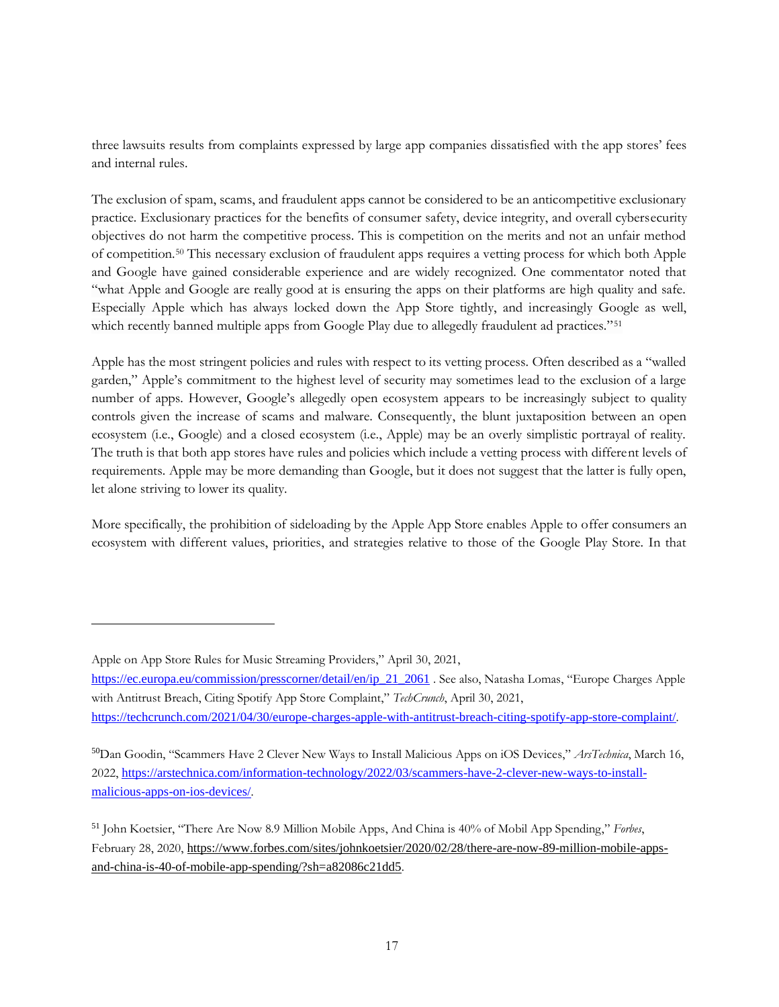three lawsuits results from complaints expressed by large app companies dissatisfied with the app stores' fees and internal rules.

The exclusion of spam, scams, and fraudulent apps cannot be considered to be an anticompetitive exclusionary practice. Exclusionary practices for the benefits of consumer safety, device integrity, and overall cybersecurity objectives do not harm the competitive process. This is competition on the merits and not an unfair method of competition.<sup>50</sup> This necessary exclusion of fraudulent apps requires a vetting process for which both Apple and Google have gained considerable experience and are widely recognized. One commentator noted that "what Apple and Google are really good at is ensuring the apps on their platforms are high quality and safe. Especially Apple which has always locked down the App Store tightly, and increasingly Google as well, which recently banned multiple apps from Google Play due to allegedly fraudulent ad practices."<sup>51</sup>

Apple has the most stringent policies and rules with respect to its vetting process. Often described as a "walled garden," Apple's commitment to the highest level of security may sometimes lead to the exclusion of a large number of apps. However, Google's allegedly open ecosystem appears to be increasingly subject to quality controls given the increase of scams and malware. Consequently, the blunt juxtaposition between an open ecosystem (i.e., Google) and a closed ecosystem (i.e., Apple) may be an overly simplistic portrayal of reality. The truth is that both app stores have rules and policies which include a vetting process with different levels of requirements. Apple may be more demanding than Google, but it does not suggest that the latter is fully open, let alone striving to lower its quality.

More specifically, the prohibition of sideloading by the Apple App Store enables Apple to offer consumers an ecosystem with different values, priorities, and strategies relative to those of the Google Play Store. In that

Apple on App Store Rules for Music Streaming Providers," April 30, 2021,

[https://ec.europa.eu/commission/presscorner/detail/en/ip\\_21\\_2061](https://ec.europa.eu/commission/presscorner/detail/en/ip_21_2061) . See also, Natasha Lomas, "Europe Charges Apple with Antitrust Breach, Citing Spotify App Store Complaint," *TechCrunch*, April 30, 2021, <https://techcrunch.com/2021/04/30/europe-charges-apple-with-antitrust-breach-citing-spotify-app-store-complaint/>.

<sup>50</sup>Dan Goodin, "Scammers Have 2 Clever New Ways to Install Malicious Apps on iOS Devices," *ArsTechnica*, March 16, 2022, [https://arstechnica.com/information-technology/2022/03/scammers-have-2-clever-new-ways-to-install](https://arstechnica.com/information-technology/2022/03/scammers-have-2-clever-new-ways-to-install-malicious-apps-on-ios-devices/)[malicious-apps-on-ios-devices/](https://arstechnica.com/information-technology/2022/03/scammers-have-2-clever-new-ways-to-install-malicious-apps-on-ios-devices/).

<sup>51</sup> John Koetsier, "There Are Now 8.9 Million Mobile Apps, And China is 40% of Mobil App Spending," *Forbes*, February 28, 2020, [https://www.forbes.com/sites/johnkoetsier/2020/02/28/there-are-now-89-million-mobile-apps](https://www.forbes.com/sites/johnkoetsier/2020/02/28/there-are-now-89-million-mobile-apps-and-china-is-40-of-mobile-app-spending/?sh=a82086c21dd5)[and-china-is-40-of-mobile-app-spending/?sh=a82086c21dd5](https://www.forbes.com/sites/johnkoetsier/2020/02/28/there-are-now-89-million-mobile-apps-and-china-is-40-of-mobile-app-spending/?sh=a82086c21dd5).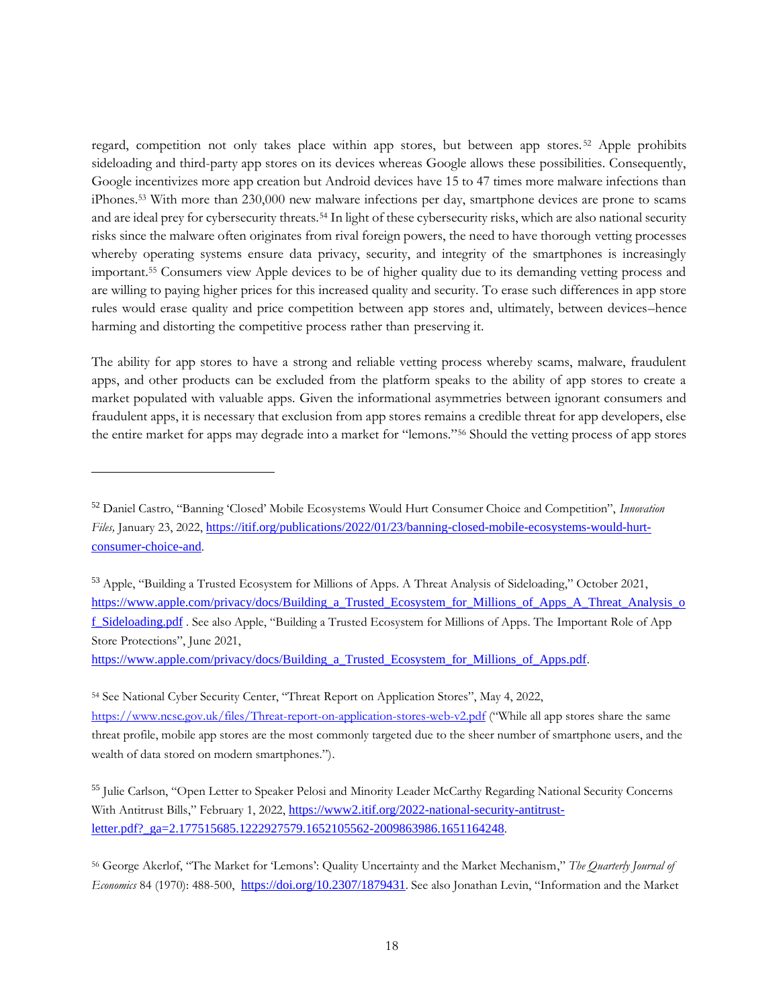regard, competition not only takes place within app stores, but between app stores. <sup>52</sup> Apple prohibits sideloading and third-party app stores on its devices whereas Google allows these possibilities. Consequently, Google incentivizes more app creation but Android devices have 15 to 47 times more malware infections than iPhones.<sup>53</sup> With more than 230,000 new malware infections per day, smartphone devices are prone to scams and are ideal prey for cybersecurity threats.<sup>54</sup> In light of these cybersecurity risks, which are also national security risks since the malware often originates from rival foreign powers, the need to have thorough vetting processes whereby operating systems ensure data privacy, security, and integrity of the smartphones is increasingly important.<sup>55</sup> Consumers view Apple devices to be of higher quality due to its demanding vetting process and are willing to paying higher prices for this increased quality and security. To erase such differences in app store rules would erase quality and price competition between app stores and, ultimately, between devices–hence harming and distorting the competitive process rather than preserving it.

The ability for app stores to have a strong and reliable vetting process whereby scams, malware, fraudulent apps, and other products can be excluded from the platform speaks to the ability of app stores to create a market populated with valuable apps. Given the informational asymmetries between ignorant consumers and fraudulent apps, it is necessary that exclusion from app stores remains a credible threat for app developers, else the entire market for apps may degrade into a market for "lemons."<sup>56</sup> Should the vetting process of app stores

[https://www.apple.com/privacy/docs/Building\\_a\\_Trusted\\_Ecosystem\\_for\\_Millions\\_of\\_Apps.pdf](https://www.apple.com/privacy/docs/Building_a_Trusted_Ecosystem_for_Millions_of_Apps.pdf).

<sup>54</sup> See National Cyber Security Center, "Threat Report on Application Stores", May 4, 2022, <https://www.ncsc.gov.uk/files/Threat-report-on-application-stores-web-v2.pdf> ("While all app stores share the same threat profile, mobile app stores are the most commonly targeted due to the sheer number of smartphone users, and the wealth of data stored on modern smartphones.").

<sup>55</sup> Julie Carlson, "Open Letter to Speaker Pelosi and Minority Leader McCarthy Regarding National Security Concerns With Antitrust Bills," February 1, 2022, [https://www2.itif.org/2022-national-security-antitrust](https://www2.itif.org/2022-national-security-antitrust-letter.pdf?_ga=2.177515685.1222927579.1652105562-2009863986.1651164248)[letter.pdf?\\_ga=2.177515685.1222927579.1652105562-2009863986.1651164248](https://www2.itif.org/2022-national-security-antitrust-letter.pdf?_ga=2.177515685.1222927579.1652105562-2009863986.1651164248).

<sup>56</sup> George Akerlof, "The Market for 'Lemons': Quality Uncertainty and the Market Mechanism," *The Quarterly Journal of Economics* 84 (1970): 488-500, <https://doi.org/10.2307/1879431>. See also Jonathan Levin, "Information and the Market

<sup>52</sup> Daniel Castro, "Banning 'Closed' Mobile Ecosystems Would Hurt Consumer Choice and Competition", *Innovation Files,* January 23, 2022, [https://itif.org/publications/2022/01/23/banning-closed-mobile-ecosystems-would-hurt](https://itif.org/publications/2022/01/23/banning-closed-mobile-ecosystems-would-hurt-consumer-choice-and)[consumer-choice-and](https://itif.org/publications/2022/01/23/banning-closed-mobile-ecosystems-would-hurt-consumer-choice-and).

<sup>53</sup> Apple, "Building a Trusted Ecosystem for Millions of Apps. A Threat Analysis of Sideloading," October 2021, https://www.apple.com/privacy/docs/Building a Trusted Ecosystem for Millions of Apps A Threat Analysis o [f\\_Sideloading.pdf](https://www.apple.com/privacy/docs/Building_a_Trusted_Ecosystem_for_Millions_of_Apps_A_Threat_Analysis_of_Sideloading.pdf) . See also Apple, "Building a Trusted Ecosystem for Millions of Apps. The Important Role of App Store Protections", June 2021,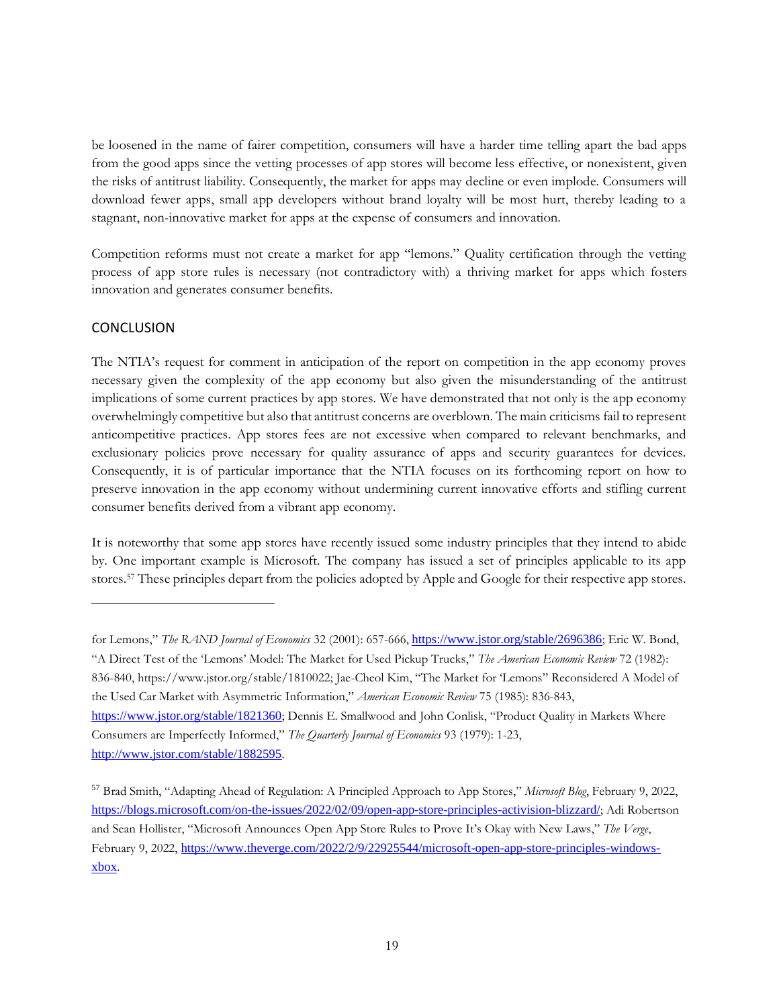be loosened in the name of fairer competition, consumers will have a harder time telling apart the bad apps from the good apps since the vetting processes of app stores will become less effective, or nonexistent, given the risks of antitrust liability. Consequently, the market for apps may decline or even implode. Consumers will download fewer apps, small app developers without brand loyalty will be most hurt, thereby leading to a stagnant, non-innovative market for apps at the expense of consumers and innovation.

Competition reforms must not create a market for app "lemons." Quality certification through the vetting process of app store rules is necessary (not contradictory with) a thriving market for apps which fosters innovation and generates consumer benefits.

## <span id="page-18-0"></span>**CONCLUSION**

The NTIA's request for comment in anticipation of the report on competition in the app economy proves necessary given the complexity of the app economy but also given the misunderstanding of the antitrust implications of some current practices by app stores. We have demonstrated that not only is the app economy overwhelmingly competitive but also that antitrust concerns are overblown. The main criticisms fail to represent anticompetitive practices. App stores fees are not excessive when compared to relevant benchmarks, and exclusionary policies prove necessary for quality assurance of apps and security guarantees for devices. Consequently, it is of particular importance that the NTIA focuses on its forthcoming report on how to preserve innovation in the app economy without undermining current innovative efforts and stifling current consumer benefits derived from a vibrant app economy.

It is noteworthy that some app stores have recently issued some industry principles that they intend to abide by. One important example is Microsoft. The company has issued a set of principles applicable to its app stores.<sup>57</sup> These principles depart from the policies adopted by Apple and Google for their respective app stores.

for Lemons," *The RAND Journal of Economics* 32 (2001): 657-666, <https://www.jstor.org/stable/2696386>; Eric W. Bond, "A Direct Test of the 'Lemons' Model: The Market for Used Pickup Trucks," *The American Economic Review* 72 (1982): 836-840, https://www.jstor.org/stable/1810022; Jae-Cheol Kim, "The Market for 'Lemons" Reconsidered A Model of the Used Car Market with Asymmetric Information," *American Economic Review* 75 (1985): 836-843, <https://www.jstor.org/stable/1821360>; Dennis E. Smallwood and John Conlisk, "Product Quality in Markets Where Consumers are Imperfectly Informed," *The Quarterly Journal of Economics* 93 (1979): 1-23, <http://www.jstor.com/stable/1882595>.

<sup>57</sup> Brad Smith, "Adapting Ahead of Regulation: A Principled Approach to App Stores," *Microsoft Blog*, February 9, 2022, <https://blogs.microsoft.com/on-the-issues/2022/02/09/open-app-store-principles-activision-blizzard/>; Adi Robertson and Sean Hollister, "Microsoft Announces Open App Store Rules to Prove It's Okay with New Laws," *The Verge*, February 9, 2022, [https://www.theverge.com/2022/2/9/22925544/microsoft-open-app-store-principles-windows](https://www.theverge.com/2022/2/9/22925544/microsoft-open-app-store-principles-windows-xbox)[xbox](https://www.theverge.com/2022/2/9/22925544/microsoft-open-app-store-principles-windows-xbox).